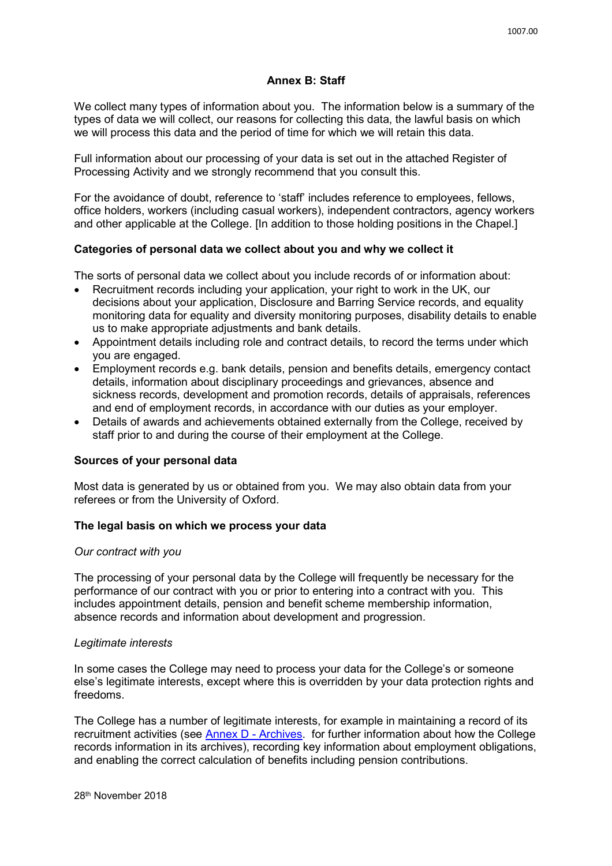## **Annex B: Staff**

We collect many types of information about you. The information below is a summary of the types of data we will collect, our reasons for collecting this data, the lawful basis on which we will process this data and the period of time for which we will retain this data.

Full information about our processing of your data is set out in the attached Register of Processing Activity and we strongly recommend that you consult this.

For the avoidance of doubt, reference to 'staff' includes reference to employees, fellows, office holders, workers (including casual workers), independent contractors, agency workers and other applicable at the College. [In addition to those holding positions in the Chapel.]

## **Categories of personal data we collect about you and why we collect it**

The sorts of personal data we collect about you include records of or information about:

- Recruitment records including your application, your right to work in the UK, our decisions about your application, Disclosure and Barring Service records, and equality monitoring data for equality and diversity monitoring purposes, disability details to enable us to make appropriate adjustments and bank details.
- Appointment details including role and contract details, to record the terms under which you are engaged.
- Employment records e.g. bank details, pension and benefits details, emergency contact details, information about disciplinary proceedings and grievances, absence and sickness records, development and promotion records, details of appraisals, references and end of employment records, in accordance with our duties as your employer.
- Details of awards and achievements obtained externally from the College, received by staff prior to and during the course of their employment at the College.

### **Sources of your personal data**

Most data is generated by us or obtained from you. We may also obtain data from your referees or from the University of Oxford.

### **The legal basis on which we process your data**

### *Our contract with you*

The processing of your personal data by the College will frequently be necessary for the performance of our contract with you or prior to entering into a contract with you. This includes appointment details, pension and benefit scheme membership information, absence records and information about development and progression.

### *Legitimate interests*

In some cases the College may need to process your data for the College's or someone else's legitimate interests, except where this is overridden by your data protection rights and freedoms.

The College has a number of legitimate interests, for example in maintaining a record of its recruitment activities (see **Annex D - Archives**. for further information about how the College records information in its archives), recording key information about employment obligations, and enabling the correct calculation of benefits including pension contributions.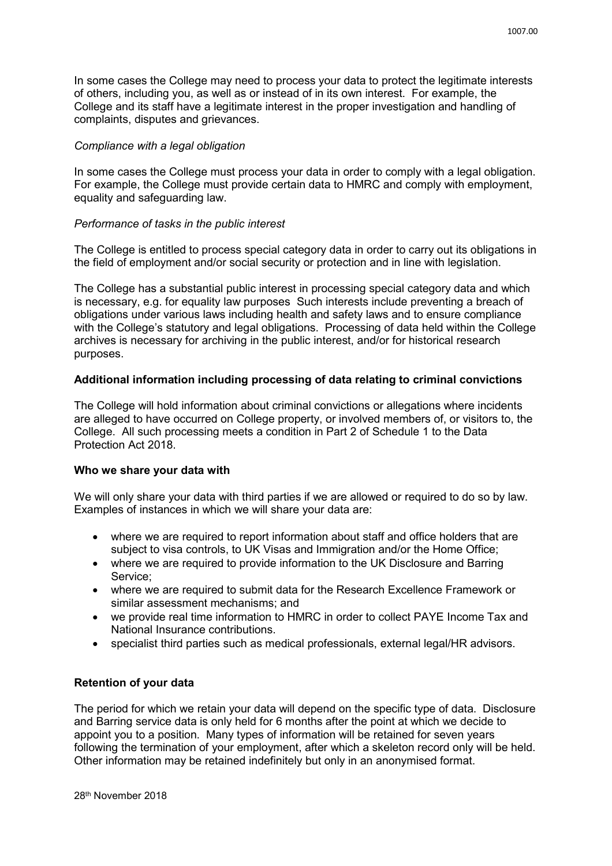In some cases the College may need to process your data to protect the legitimate interests of others, including you, as well as or instead of in its own interest. For example, the College and its staff have a legitimate interest in the proper investigation and handling of complaints, disputes and grievances.

## *Compliance with a legal obligation*

In some cases the College must process your data in order to comply with a legal obligation. For example, the College must provide certain data to HMRC and comply with employment, equality and safeguarding law.

# *Performance of tasks in the public interest*

The College is entitled to process special category data in order to carry out its obligations in the field of employment and/or social security or protection and in line with legislation.

The College has a substantial public interest in processing special category data and which is necessary, e.g. for equality law purposes Such interests include preventing a breach of obligations under various laws including health and safety laws and to ensure compliance with the College's statutory and legal obligations. Processing of data held within the College archives is necessary for archiving in the public interest, and/or for historical research purposes.

# **Additional information including processing of data relating to criminal convictions**

The College will hold information about criminal convictions or allegations where incidents are alleged to have occurred on College property, or involved members of, or visitors to, the College. All such processing meets a condition in Part 2 of Schedule 1 to the Data Protection Act 2018.

### **Who we share your data with**

We will only share your data with third parties if we are allowed or required to do so by law. Examples of instances in which we will share your data are:

- where we are required to report information about staff and office holders that are subject to visa controls, to UK Visas and Immigration and/or the Home Office;
- where we are required to provide information to the UK Disclosure and Barring Service;
- where we are required to submit data for the Research Excellence Framework or similar assessment mechanisms; and
- we provide real time information to HMRC in order to collect PAYE Income Tax and National Insurance contributions.
- specialist third parties such as medical professionals, external legal/HR advisors.

# **Retention of your data**

The period for which we retain your data will depend on the specific type of data. Disclosure and Barring service data is only held for 6 months after the point at which we decide to appoint you to a position. Many types of information will be retained for seven years following the termination of your employment, after which a skeleton record only will be held. Other information may be retained indefinitely but only in an anonymised format.